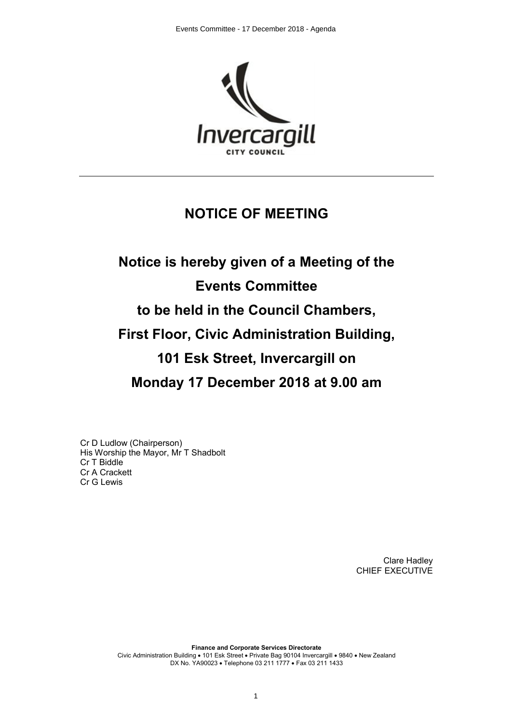

# **NOTICE OF MEETING**

# **Notice is hereby given of a Meeting of the Events Committee to be held in the Council Chambers, First Floor, Civic Administration Building, 101 Esk Street, Invercargill on Monday 17 December 2018 at 9.00 am**

Cr D Ludlow (Chairperson) His Worship the Mayor, Mr T Shadbolt Cr T Biddle Cr A Crackett Cr G Lewis

> Clare Hadley CHIEF EXECUTIVE

**Finance and Corporate Services Directorate** Civic Administration Building • 101 Esk Street • Private Bag 90104 Invercargill • 9840 • New Zealand DX No. YA90023 · Telephone 03 211 1777 · Fax 03 211 1433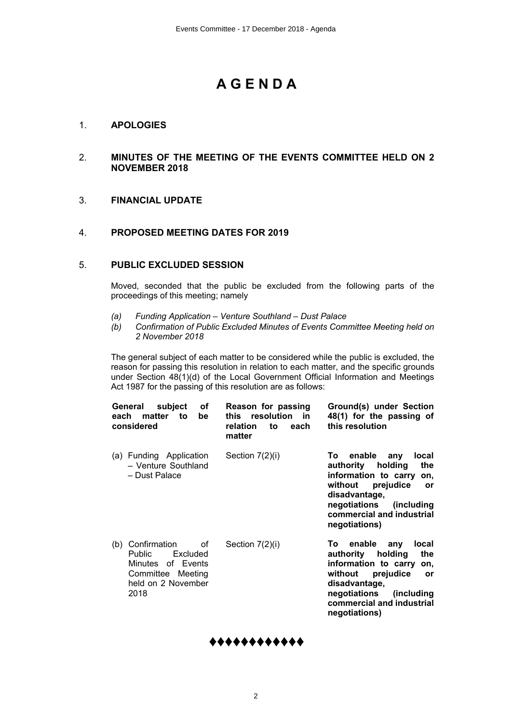# **A G E N D A**

# 1. **APOLOGIES**

# 2. **MINUTES OF THE MEETING OF THE EVENTS COMMITTEE HELD ON 2 NOVEMBER 2018**

# 3. **FINANCIAL UPDATE**

# 4. **PROPOSED MEETING DATES FOR 2019**

# 5. **PUBLIC EXCLUDED SESSION**

Moved, seconded that the public be excluded from the following parts of the proceedings of this meeting; namely

- *(a) Funding Application Venture Southland Dust Palace*
- *(b) Confirmation of Public Excluded Minutes of Events Committee Meeting held on 2 November 2018*

The general subject of each matter to be considered while the public is excluded, the reason for passing this resolution in relation to each matter, and the specific grounds under Section 48(1)(d) of the Local Government Official Information and Meetings Act 1987 for the passing of this resolution are as follows:

| General<br>subject<br>οf<br>each<br>matter<br>to<br>be<br>considered                                                              | Reason for passing<br>resolution<br>- in<br>this<br>each<br>relation<br>to<br>matter | Ground(s) under Section<br>48(1) for the passing of<br>this resolution                                                                                                                                                        |
|-----------------------------------------------------------------------------------------------------------------------------------|--------------------------------------------------------------------------------------|-------------------------------------------------------------------------------------------------------------------------------------------------------------------------------------------------------------------------------|
| (a) Funding Application<br>- Venture Southland<br>- Dust Palace                                                                   | Section $7(2)(i)$                                                                    | enable<br>local<br>To:<br>any<br>the<br>authority<br>holding<br>information to carry<br>on,<br>without<br>prejudice<br><b>or</b><br>disadvantage,<br>negotiations<br>(including<br>commercial and industrial<br>negotiations) |
| Confirmation<br>οf<br>(b)<br><b>Public</b><br>Excluded<br>of Events<br>Minutes<br>Committee Meeting<br>held on 2 November<br>2018 | Section 7(2)(i)                                                                      | enable<br>local<br>To l<br>any<br>authority<br>holding<br>the<br>information to carry on,<br>prejudice<br>without<br><b>or</b><br>disadvantage,<br>negotiations<br>(including)<br>commercial and industrial<br>negotiations)  |

# **♦♦♦♦♦♦♦♦♦♦♦♦**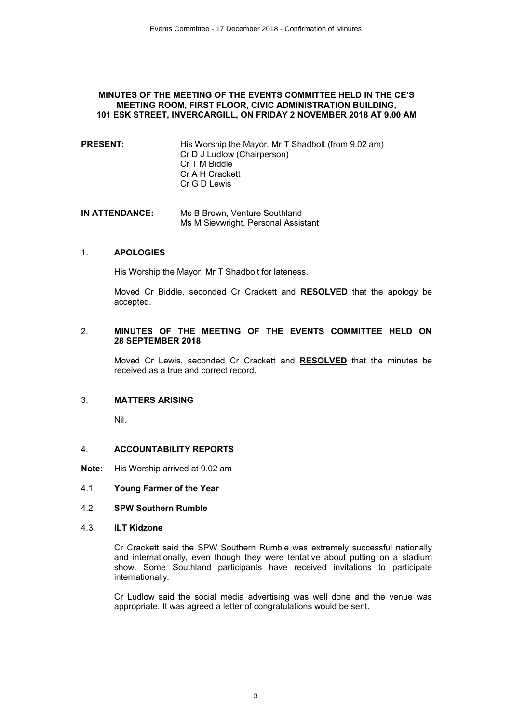#### **MINUTES OF THE MEETING OF THE EVENTS COMMITTEE HELD IN THE CE'S MEETING ROOM, FIRST FLOOR, CIVIC ADMINISTRATION BUILDING, 101 ESK STREET, INVERCARGILL, ON FRIDAY 2 NOVEMBER 2018 AT 9.00 AM**

- **PRESENT:** His Worship the Mayor, Mr T Shadbolt (from 9.02 am) Cr D J Ludlow (Chairperson) Cr T M Biddle Cr A H Crackett Cr G D Lewis
- **IN ATTENDANCE:** Ms B Brown, Venture Southland Ms M Sievwright, Personal Assistant

#### 1. **APOLOGIES**

His Worship the Mayor, Mr T Shadbolt for lateness.

Moved Cr Biddle, seconded Cr Crackett and **RESOLVED** that the apology be accepted.

#### 2. **MINUTES OF THE MEETING OF THE EVENTS COMMITTEE HELD ON 28 SEPTEMBER 2018**

Moved Cr Lewis, seconded Cr Crackett and **RESOLVED** that the minutes be received as a true and correct record.

# 3. **MATTERS ARISING**

Nil.

#### 4. **ACCOUNTABILITY REPORTS**

- **Note:** His Worship arrived at 9.02 am
- 4.1. **Young Farmer of the Year**

#### 4.2. **SPW Southern Rumble**

4.3. **ILT Kidzone**

Cr Crackett said the SPW Southern Rumble was extremely successful nationally and internationally, even though they were tentative about putting on a stadium show. Some Southland participants have received invitations to participate internationally.

Cr Ludlow said the social media advertising was well done and the venue was appropriate. It was agreed a letter of congratulations would be sent.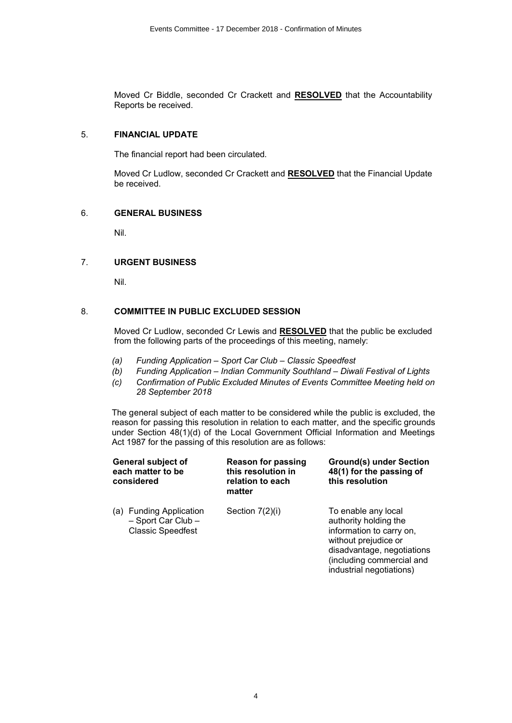Moved Cr Biddle, seconded Cr Crackett and **RESOLVED** that the Accountability Reports be received.

#### 5. **FINANCIAL UPDATE**

The financial report had been circulated.

Moved Cr Ludlow, seconded Cr Crackett and **RESOLVED** that the Financial Update be received.

# 6. **GENERAL BUSINESS**

Nil.

# 7. **URGENT BUSINESS**

Nil.

#### 8. **COMMITTEE IN PUBLIC EXCLUDED SESSION**

Moved Cr Ludlow, seconded Cr Lewis and **RESOLVED** that the public be excluded from the following parts of the proceedings of this meeting, namely:

- *(a) Funding Application Sport Car Club Classic Speedfest*
- *(b) Funding Application Indian Community Southland Diwali Festival of Lights*
- *(c) Confirmation of Public Excluded Minutes of Events Committee Meeting held on 28 September 2018*

The general subject of each matter to be considered while the public is excluded, the reason for passing this resolution in relation to each matter, and the specific grounds under Section 48(1)(d) of the Local Government Official Information and Meetings Act 1987 for the passing of this resolution are as follows:

|     | General subject of<br>each matter to be<br>considered                            | <b>Reason for passing</b><br>this resolution in<br>relation to each<br>matter | <b>Ground(s) under Section</b><br>48(1) for the passing of<br>this resolution                                                                                                           |
|-----|----------------------------------------------------------------------------------|-------------------------------------------------------------------------------|-----------------------------------------------------------------------------------------------------------------------------------------------------------------------------------------|
| (a) | <b>Funding Application</b><br>$-$ Sport Car Club $-$<br><b>Classic Speedfest</b> | Section $7(2)(i)$                                                             | To enable any local<br>authority holding the<br>information to carry on,<br>without prejudice or<br>disadvantage, negotiations<br>(including commercial and<br>industrial negotiations) |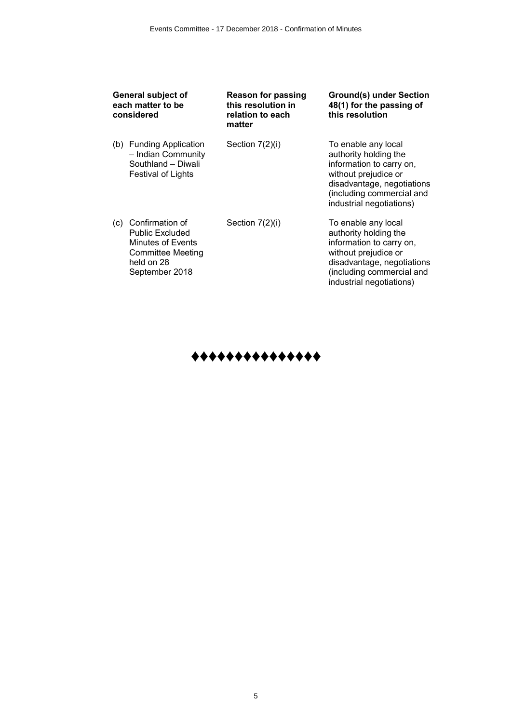| General subject of<br>each matter to be<br>considered |                                                                                                                     | <b>Reason for passing</b><br>this resolution in<br>relation to each<br>matter | <b>Ground(s) under Section</b><br>48(1) for the passing of<br>this resolution                                                                                                           |  |
|-------------------------------------------------------|---------------------------------------------------------------------------------------------------------------------|-------------------------------------------------------------------------------|-----------------------------------------------------------------------------------------------------------------------------------------------------------------------------------------|--|
| (b)                                                   | <b>Funding Application</b><br>- Indian Community<br>Southland - Diwali<br>Festival of Lights                        | Section $7(2)(i)$                                                             | To enable any local<br>authority holding the<br>information to carry on,<br>without prejudice or<br>disadvantage, negotiations<br>(including commercial and<br>industrial negotiations) |  |
| (c)                                                   | Confirmation of<br><b>Public Excluded</b><br>Minutes of Events<br>Committee Meeting<br>held on 28<br>September 2018 | Section 7(2)(i)                                                               | To enable any local<br>authority holding the<br>information to carry on,<br>without prejudice or<br>disadvantage, negotiations<br>(including commercial and<br>industrial negotiations) |  |

**♦♦♦♦♦♦♦♦♦♦♦♦♦♦♦**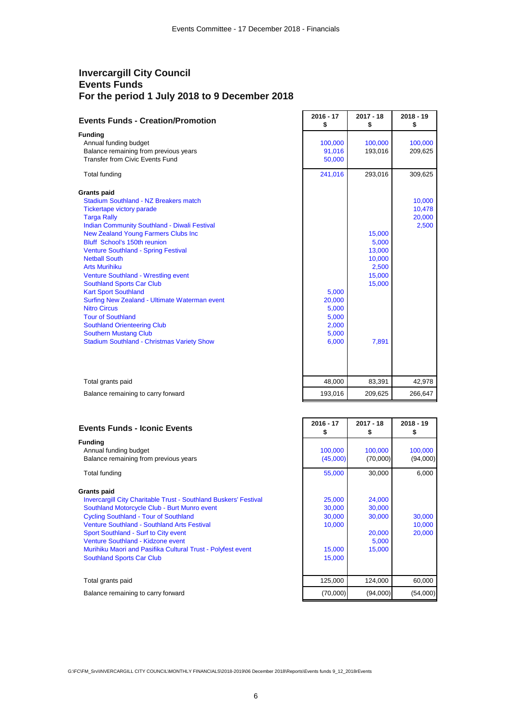# **Invercargill City Council Events Funds For the period 1 July 2018 to 9 December 2018**

| <b>Events Funds - Creation/Promotion</b>                                                                                                                                                                                                                                                                                                                                                                                                                                                                                                                                                                                                                                                                 | $2016 - 17$<br>\$                                            | $2017 - 18$<br>\$                                                         | $2018 - 19$<br>\$                   |
|----------------------------------------------------------------------------------------------------------------------------------------------------------------------------------------------------------------------------------------------------------------------------------------------------------------------------------------------------------------------------------------------------------------------------------------------------------------------------------------------------------------------------------------------------------------------------------------------------------------------------------------------------------------------------------------------------------|--------------------------------------------------------------|---------------------------------------------------------------------------|-------------------------------------|
| <b>Funding</b><br>Annual funding budget<br>Balance remaining from previous years<br><b>Transfer from Civic Events Fund</b>                                                                                                                                                                                                                                                                                                                                                                                                                                                                                                                                                                               | 100,000<br>91,016<br>50,000                                  | 100,000<br>193,016                                                        | 100,000<br>209,625                  |
| Total funding                                                                                                                                                                                                                                                                                                                                                                                                                                                                                                                                                                                                                                                                                            | 241,016                                                      | 293,016                                                                   | 309,625                             |
| <b>Grants paid</b><br><b>Stadium Southland - NZ Breakers match</b><br><b>Tickertape victory parade</b><br><b>Targa Rally</b><br><b>Indian Community Southland - Diwali Festival</b><br><b>New Zealand Young Farmers Clubs Inc</b><br>Bluff School's 150th reunion<br><b>Venture Southland - Spring Festival</b><br><b>Netball South</b><br><b>Arts Murihiku</b><br>Venture Southland - Wrestling event<br><b>Southland Sports Car Club</b><br><b>Kart Sport Southland</b><br>Surfing New Zealand - Ultimate Waterman event<br><b>Nitro Circus</b><br><b>Tour of Southland</b><br><b>Southland Orienteering Club</b><br><b>Southern Mustang Club</b><br><b>Stadium Southland - Christmas Variety Show</b> | 5,000<br>20,000<br>5,000<br>5,000<br>2,000<br>5,000<br>6,000 | 15,000<br>5,000<br>13,000<br>10,000<br>2,500<br>15,000<br>15,000<br>7,891 | 10,000<br>10,478<br>20,000<br>2,500 |
| Total grants paid                                                                                                                                                                                                                                                                                                                                                                                                                                                                                                                                                                                                                                                                                        | 48,000                                                       | 83,391                                                                    | 42,978                              |
| Balance remaining to carry forward                                                                                                                                                                                                                                                                                                                                                                                                                                                                                                                                                                                                                                                                       | 193,016                                                      | 209,625                                                                   | 266,647                             |

| <b>Events Funds - Iconic Events</b>                                                                                                                                                                                                                                                                                                                                                                                                 | $2016 - 17$<br>S                                         | $2017 - 18$<br>S                                        | 2018 - 19<br>S             |
|-------------------------------------------------------------------------------------------------------------------------------------------------------------------------------------------------------------------------------------------------------------------------------------------------------------------------------------------------------------------------------------------------------------------------------------|----------------------------------------------------------|---------------------------------------------------------|----------------------------|
| <b>Funding</b><br>Annual funding budget<br>Balance remaining from previous years                                                                                                                                                                                                                                                                                                                                                    | 100,000<br>(45,000)                                      | 100,000<br>(70,000)                                     | 100,000<br>(94,000)        |
| Total funding                                                                                                                                                                                                                                                                                                                                                                                                                       | 55,000                                                   | 30,000                                                  | 6,000                      |
| <b>Grants paid</b><br><b>Invercargill City Charitable Trust - Southland Buskers' Festival</b><br>Southland Motorcycle Club - Burt Munro event<br><b>Cycling Southland - Tour of Southland</b><br><b>Venture Southland - Southland Arts Festival</b><br>Sport Southland - Surf to City event<br>Venture Southland - Kidzone event<br>Murihiku Maori and Pasifika Cultural Trust - Polyfest event<br><b>Southland Sports Car Club</b> | 25,000<br>30,000<br>30,000<br>10,000<br>15,000<br>15,000 | 24,000<br>30,000<br>30,000<br>20,000<br>5,000<br>15,000 | 30,000<br>10,000<br>20,000 |
| Total grants paid                                                                                                                                                                                                                                                                                                                                                                                                                   | 125,000                                                  | 124,000                                                 | 60,000                     |
| Balance remaining to carry forward                                                                                                                                                                                                                                                                                                                                                                                                  | (70,000)                                                 | (94,000)                                                | (54,000)                   |

G:\FC\FM\_Srv\INVERCARGILL CITY COUNCIL\MONTHLY FINANCIALS\2018-2019\06 December 2018\Reports\Events funds 9\_12\_2018rEvents